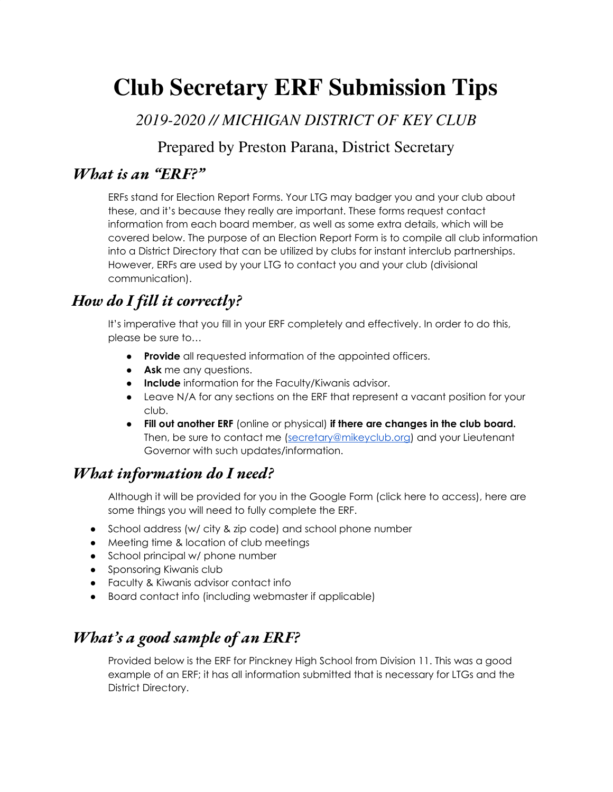# **Club Secretary ERF Submission Tips**

*2019-2020 // MICHIGAN DISTRICT OF KEY CLUB*

## Prepared by Preston Parana, District Secretary

## *What is an "ERF?"*

ERFs stand for Election Report Forms. Your LTG may badger you and your club about these, and it's because they really are important. These forms request contact information from each board member, as well as some extra details, which will be covered below. The purpose of an Election Report Form is to compile all club information into a District Directory that can be utilized by clubs for instant interclub partnerships. However, ERFs are used by your LTG to contact you and your club (divisional communication).

# *How do I fill it correctly?*

It's imperative that you fill in your ERF completely and effectively. In order to do this, please be sure to…

- **Provide** all requested information of the appointed officers.
- **Ask** me any questions.
- **Include** information for the Faculty/Kiwanis advisor.
- Leave N/A for any sections on the ERF that represent a vacant position for your club.
- **Fill out another ERF** (online or physical) **if there are changes in the club board.** Then, be sure to contact me ([secretary@mikeyclub.org](mailto:secretary@mikeyclub.org)) and your Lieutenant Governor with such updates/information.

## *What information do I need?*

Although it will be provided for you in the Google Form (click here to access), here are some things you will need to fully complete the ERF.

- School address (w/ city & zip code) and school phone number
- Meeting time & location of club meetings
- School principal w/ phone number
- Sponsoring Kiwanis club
- Faculty & Kiwanis advisor contact info
- Board contact info (including webmaster if applicable)

# *What's a good sample of an ERF?*

Provided below is the ERF for Pinckney High School from Division 11. This was a good example of an ERF; it has all information submitted that is necessary for LTGs and the District Directory.